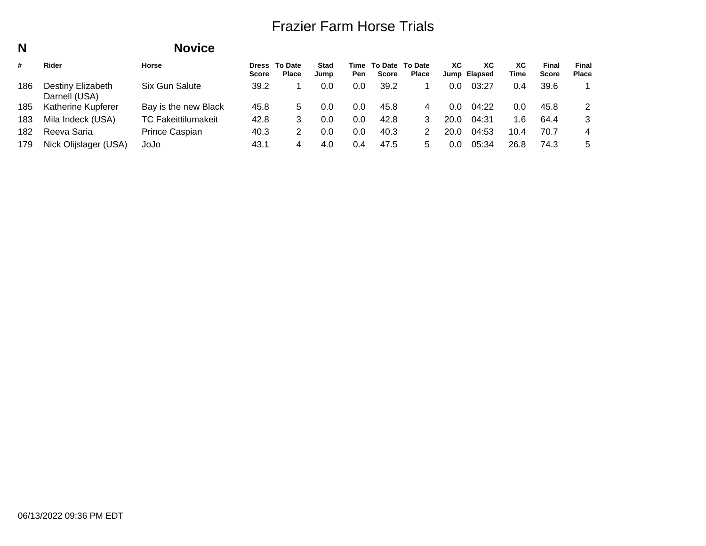**To DateTimeTo Date**Pen Score Place **XC**

**FinalPlace**

**FinalScore**

**XCTime**

**Elapsed Jump**

**XC**

#### **NNovice**<br> **Horse Stad Jump** $\cap$ **DressTo Date Score Place** $202$  $\overline{1}$ **#** $Rider$ 186Darnell 185 Katheri 183

| 6. | Destiny Elizabeth<br>Darnell (USA) | Six Gun Salute             | 39.2 |   | 0.0 | 0.0 | 39.2 | 0.0  | 03:27 | 0.4  | 39.6 |    |
|----|------------------------------------|----------------------------|------|---|-----|-----|------|------|-------|------|------|----|
|    | 5 Katherine Kupferer               | Bay is the new Black       | 45.8 |   | 0.0 | 0.0 | 45.8 | 0.0  | 04:22 | 0.0  | 45.8 |    |
|    | 3 Mila Indeck (USA)                | <b>TC Fakeittilumakeit</b> | 42.8 |   | 0.0 | 0.0 | 42.8 | 20.0 | 04:31 | 1 6  | 64.4 |    |
|    | 2  Reeva Saria                     | Prince Caspian             | 40.3 |   | 0.0 | 0.0 | 40.3 | 20.0 | 04:53 | 10.4 | 70.7 | 4  |
|    | 9 Nick Olijslager (USA)            | JoJo                       | 43.1 | 4 | 4.0 | 0.4 | 47.5 | 0.0  | 05:34 | 26.8 | 74.3 | -5 |
|    |                                    |                            |      |   |     |     |      |      |       |      |      |    |

182

179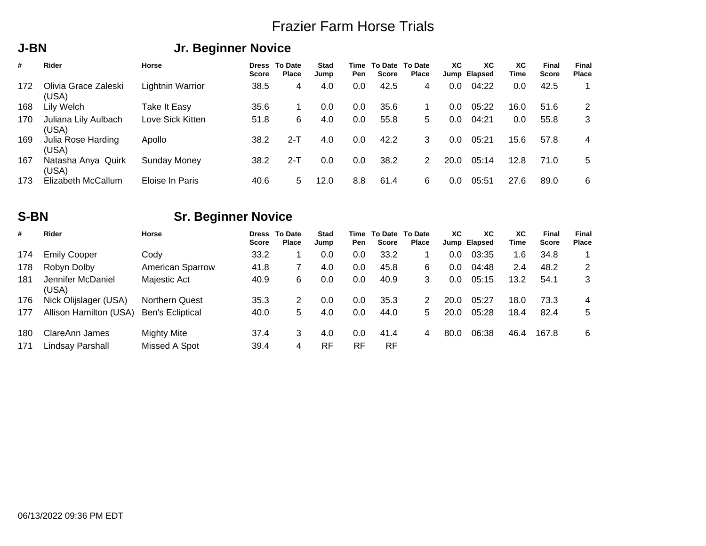#### **J-BN**

## **Jr. Beginner Novice**

| #   | <b>Rider</b>                  | Horse            | <b>Score</b> | <b>Dress To Date</b><br><b>Place</b> | <b>Stad</b><br>Jump | <b>Pen</b> | Time To Date To Date<br><b>Score</b> | <b>Place</b> | XC.  | XC<br>Jump Elapsed | ХC<br>Time | <b>Final</b><br><b>Score</b> | Final<br><b>Place</b> |
|-----|-------------------------------|------------------|--------------|--------------------------------------|---------------------|------------|--------------------------------------|--------------|------|--------------------|------------|------------------------------|-----------------------|
| 172 | Olivia Grace Zaleski<br>(USA) | Lightnin Warrior | 38.5         | 4                                    | 4.0                 | 0.0        | 42.5                                 | 4            | 0.0  | 04:22              | 0.0        | 42.5                         |                       |
| 168 | Lily Welch                    | Take It Easy     | 35.6         |                                      | 0.0                 | 0.0        | 35.6                                 |              | 0.0  | 05:22              | 16.0       | 51.6                         | 2                     |
| 170 | Juliana Lily Aulbach<br>(USA) | Love Sick Kitten | 51.8         | 6                                    | 4.0                 | 0.0        | 55.8                                 | 5.           | 0.0  | 04:21              | 0.0        | 55.8                         | 3                     |
| 169 | Julia Rose Harding<br>(USA)   | Apollo           | 38.2         | $2-T$                                | 4.0                 | 0.0        | 42.2                                 | 3.           | 0.0  | 05:21              | 15.6       | 57.8                         | 4                     |
| 167 | Natasha Anya Quirk<br>(USA)   | Sunday Money     | 38.2         | $2-T$                                | 0.0                 | 0.0        | 38.2                                 | 2            | 20.0 | 05:14              | 12.8       | 71.0                         | 5                     |
| 173 | Elizabeth McCallum            | Eloise In Paris  | 40.6         | 5                                    | 12.0                | 8.8        | 61.4                                 | 6            | 0.0  | 05:51              | 27.6       | 89.0                         | 6                     |

### **S-BN**

## **Sr. Beginner Novice**

| #          | <b>Rider</b>                       | Horse                        | <b>Score</b> | <b>Dress To Date</b><br>Place | <b>Stad</b><br>Jump | Pen              | Time To Date To Date<br><b>Score</b> | Place | XC.  | ХC<br>Jump Elapsed | XC.<br>Time | <b>Final</b><br><b>Score</b> | Final<br>Place |
|------------|------------------------------------|------------------------------|--------------|-------------------------------|---------------------|------------------|--------------------------------------|-------|------|--------------------|-------------|------------------------------|----------------|
| 174        | <b>Emily Cooper</b>                | Codv                         | 33.2         |                               | 0.0                 | 0.0              | 33.2                                 |       | 0.0  | 03:35              | .6          | 34.8                         |                |
| 178        | Robyn Dolby                        | <b>American Sparrow</b>      | 41.8         |                               | 4.0                 | 0.0              | 45.8                                 | 6     | 0.0  | 04:48              | 2.4         | 48.2                         | 2              |
| 181        | Jennifer McDaniel<br>(USA)         | Majestic Act                 | 40.9         | 6                             | 0.0                 | 0.0              | 40.9                                 | 3     | 0.0  | 05:15              | 13.2        | 54.1                         | 3              |
| 176        | Nick Olijslager (USA)              | Northern Quest               | 35.3         | 2                             | 0.0                 | 0.0              | 35.3                                 |       | 20.0 | 05:27              | 18.0        | 73.3                         | 4              |
| 177        | Allison Hamilton (USA)             | <b>Ben's Ecliptical</b>      | 40.0         | 5                             | 4.0                 | 0.0              | 44.0                                 | 5.    | 20.0 | 05:28              | 18.4        | 82.4                         | 5              |
| 180<br>171 | ClareAnn James<br>Lindsay Parshall | Mighty Mite<br>Missed A Spot | 37.4<br>39.4 | 3<br>4                        | 4.0<br><b>RF</b>    | 0.0<br><b>RF</b> | 41.4<br>RF                           | 4     | 80.0 | 06:38              | 46.4        | 167.8                        | 6              |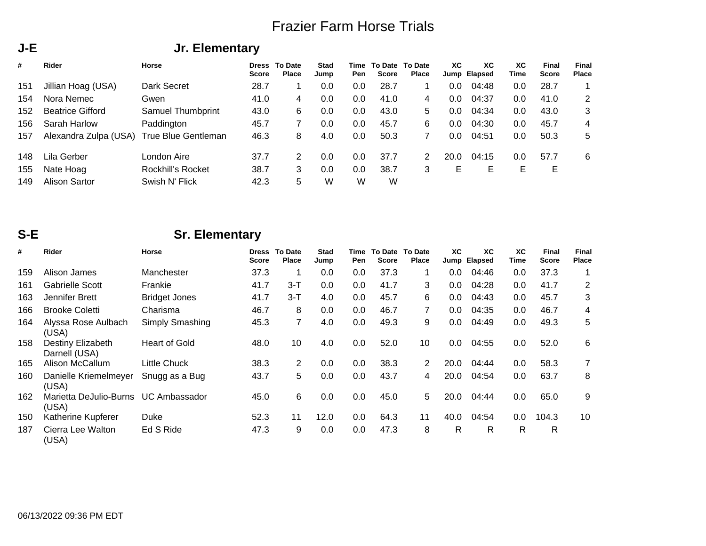## **Jr. Elementary**

| #   | Rider                   | <b>Horse</b>        | <b>Score</b> | <b>Dress To Date</b><br><b>Place</b> | <b>Stad</b><br>Jump | Time<br>Pen | To Date To Date<br><b>Score</b> | <b>Place</b> | XC.     | XC.<br>Jump Elapsed | ХC<br>Time | Final<br><b>Score</b> | Final<br><b>Place</b> |
|-----|-------------------------|---------------------|--------------|--------------------------------------|---------------------|-------------|---------------------------------|--------------|---------|---------------------|------------|-----------------------|-----------------------|
| 151 | Jillian Hoag (USA)      | Dark Secret         | 28.7         |                                      | 0.0                 | 0.0         | 28.7                            |              | 0.0     | 04:48               | 0.0        | 28.7                  |                       |
| 154 | Nora Nemec              | Gwen                | 41.0         | 4                                    | 0.0                 | 0.0         | 41.0                            | 4            | 0.0     | 04:37               | 0.0        | 41.0                  | $\overline{2}$        |
| 152 | <b>Beatrice Gifford</b> | Samuel Thumbprint   | 43.0         | 6                                    | 0.0                 | 0.0         | 43.0                            | 5.           | $0.0\,$ | 04:34               | 0.0        | 43.0                  | 3                     |
| 156 | Sarah Harlow            | Paddington          | 45.7         |                                      | 0.0                 | 0.0         | 45.7                            | 6.           | 0.0     | 04:30               | 0.0        | 45.7                  | 4                     |
| 157 | Alexandra Zulpa (USA)   | True Blue Gentleman | 46.3         | 8                                    | 4.0                 | 0.0         | 50.3                            |              | 0.0     | 04:51               | 0.0        | 50.3                  | 5                     |
| 148 | Lila Gerber             | London Aire         | 37.7         | 2                                    | 0.0                 | 0.0         | 37.7                            | 2            | 20.0    | 04:15               | 0.0        | 57.7                  | 6                     |
| 155 | Nate Hoag               | Rockhill's Rocket   | 38.7         | 3                                    | 0.0                 | 0.0         | 38.7                            | 3            | Е       | Е                   | Е          | E                     |                       |
| 149 | Alison Sartor           | Swish N' Flick      | 42.3         | 5                                    | W                   | W           | W                               |              |         |                     |            |                       |                       |

#### **S-E**

**J-E**

## **Sr. Elementary**

| #   | <b>Rider</b>                       | <b>Horse</b>         | <b>Dress</b><br><b>Score</b> | <b>To Date</b><br><b>Place</b> | <b>Stad</b><br>Jump | Time<br>Pen | To Date<br><b>Score</b> | <b>To Date</b><br><b>Place</b> | ХC   | ХC<br>Jump Elapsed | ХC<br>Time | <b>Final</b><br>Score | Final<br>Place |
|-----|------------------------------------|----------------------|------------------------------|--------------------------------|---------------------|-------------|-------------------------|--------------------------------|------|--------------------|------------|-----------------------|----------------|
| 159 | Alison James                       | Manchester           | 37.3                         |                                | 0.0                 | 0.0         | 37.3                    |                                | 0.0  | 04:46              | 0.0        | 37.3                  | 1              |
| 161 | <b>Gabrielle Scott</b>             | Frankie              | 41.7                         | $3-T$                          | 0.0                 | 0.0         | 41.7                    | 3                              | 0.0  | 04:28              | 0.0        | 41.7                  | 2              |
| 163 | Jennifer Brett                     | <b>Bridget Jones</b> | 41.7                         | $3 - T$                        | 4.0                 | 0.0         | 45.7                    | 6                              | 0.0  | 04:43              | 0.0        | 45.7                  | 3              |
| 166 | <b>Brooke Coletti</b>              | Charisma             | 46.7                         | 8                              | 0.0                 | 0.0         | 46.7                    | 7                              | 0.0  | 04:35              | 0.0        | 46.7                  | 4              |
| 164 | Alyssa Rose Aulbach<br>(USA)       | Simply Smashing      | 45.3                         | 7                              | 4.0                 | 0.0         | 49.3                    | 9                              | 0.0  | 04:49              | 0.0        | 49.3                  | 5              |
| 158 | Destiny Elizabeth<br>Darnell (USA) | <b>Heart of Gold</b> | 48.0                         | 10                             | 4.0                 | 0.0         | 52.0                    | 10                             | 0.0  | 04:55              | 0.0        | 52.0                  | 6              |
| 165 | Alison McCallum                    | Little Chuck         | 38.3                         | 2                              | 0.0                 | $0.0\,$     | 38.3                    | 2                              | 20.0 | 04:44              | 0.0        | 58.3                  | 7              |
| 160 | Danielle Kriemelmeyer<br>(USA)     | Snugg as a Bug       | 43.7                         | 5                              | 0.0                 | 0.0         | 43.7                    | 4                              | 20.0 | 04:54              | 0.0        | 63.7                  | 8              |
| 162 | Marietta DeJulio-Burns<br>(USA)    | UC Ambassador        | 45.0                         | 6                              | 0.0                 | 0.0         | 45.0                    | 5.                             | 20.0 | 04:44              | 0.0        | 65.0                  | 9              |
| 150 | Katherine Kupferer                 | Duke                 | 52.3                         | 11                             | 12.0                | 0.0         | 64.3                    | 11                             | 40.0 | 04:54              | 0.0        | 104.3                 | 10             |
| 187 | Cierra Lee Walton<br>(USA)         | Ed S Ride            | 47.3                         | 9                              | 0.0                 | 0.0         | 47.3                    | 8                              | R    | R                  | R          | R                     |                |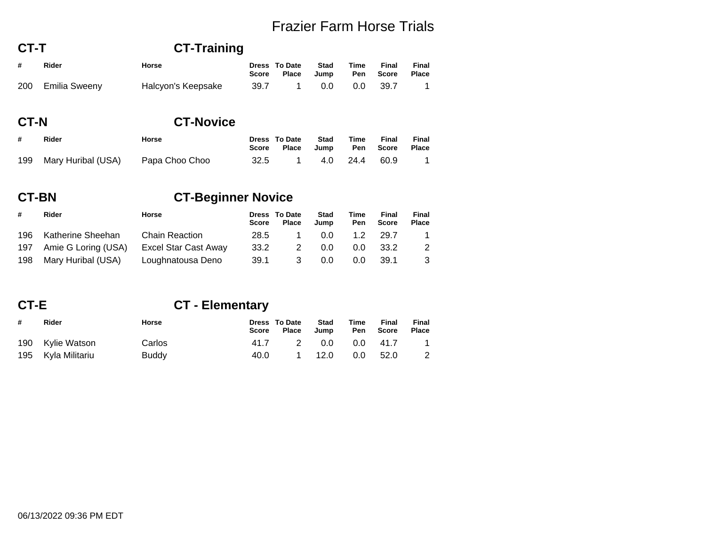| CT-T |               | <b>CT-Training</b> |       |                               |                     |                    |                |                       |  |
|------|---------------|--------------------|-------|-------------------------------|---------------------|--------------------|----------------|-----------------------|--|
| #    | Rider         | Horse              | Score | Dress To Date<br><b>Place</b> | <b>Stad</b><br>Jump | Time<br><b>Pen</b> | Final<br>Score | Final<br><b>Place</b> |  |
| 200  | Emilia Sweeny | Halcyon's Keepsake | 39.7  |                               | 0.0                 | 0.0                | -39.7          |                       |  |

### **CT-N**

#### **CT-Novice**

| # | Rider                                 | Horse | Dress To Date Stad<br>Score Place Jump Pen Score Place | Time | Final | Final          |
|---|---------------------------------------|-------|--------------------------------------------------------|------|-------|----------------|
|   | 199 Mary Huribal (USA) Papa Choo Choo |       | 32.5 1 4.0 24.4 60.9                                   |      |       | $\overline{1}$ |

#### **CT-BNCT-Beginner Novice**

| #   | Rider                 | <b>Horse</b>          | Score | Dress To Date<br><b>Place</b> | <b>Stad</b><br>Jump | Time<br>Pen | Final<br>Score | <b>Final</b><br><b>Place</b> |
|-----|-----------------------|-----------------------|-------|-------------------------------|---------------------|-------------|----------------|------------------------------|
|     | 196 Katherine Sheehan | <b>Chain Reaction</b> | 28.5  |                               | 0.0                 | 1.2         | 29.7           |                              |
| 197 | Amie G Loring (USA)   | Excel Star Cast Away  | 33.2  | 2                             | 0.0                 | 0.0         | -33.2          | 2                            |
| 198 | Mary Huribal (USA)    | Loughnatousa Deno     | 39.1  | -3                            | 0.0                 | 0.0         | 39.1           | 3                            |

### **CT-E**

## **CT - Elementary**

| # | Rider              | Horse        |      | Dress To Date Stad<br>Score Place Jump Pen Score |                      | Time | Final | Final<br>Place             |
|---|--------------------|--------------|------|--------------------------------------------------|----------------------|------|-------|----------------------------|
|   | 190 Kylie Watson   | Carlos       | 41.7 |                                                  | 2   0.0   0.0   41.7 |      |       | $\overline{\mathbf{1}}$    |
|   | 195 Kyla Militariu | <b>Buddy</b> |      | 40.0 1 12.0 0.0 52.0                             |                      |      |       | $\overline{\phantom{0}}^2$ |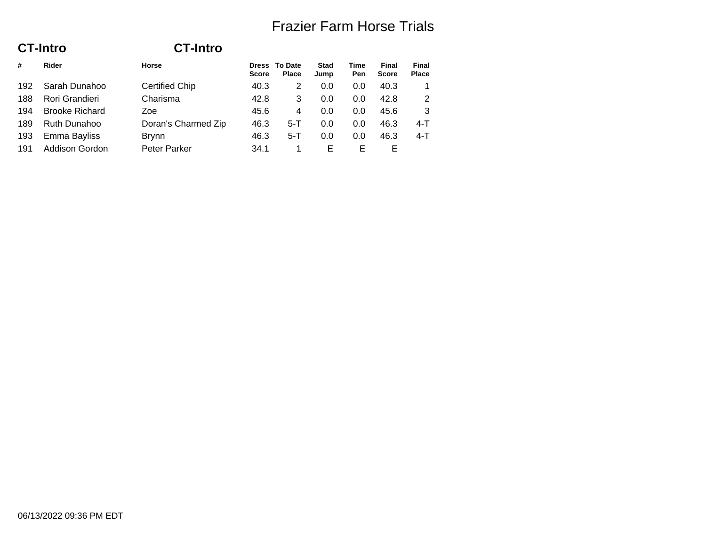**FinalPlace**

|     | <b>CT-Intro</b>       | <b>CT-Intro</b>       |              |                               |                     |                    |                              |                |
|-----|-----------------------|-----------------------|--------------|-------------------------------|---------------------|--------------------|------------------------------|----------------|
| #   | Rider                 | <b>Horse</b>          | <b>Score</b> | Dress To Date<br><b>Place</b> | <b>Stad</b><br>Jump | <b>Time</b><br>Pen | <b>Final</b><br><b>Score</b> | Final<br>Place |
| 192 | Sarah Dunahoo         | <b>Certified Chip</b> | 40.3         | 2                             | 0.0                 | 0.0                | 40.3                         |                |
| 188 | Rori Grandieri        | Charisma              | 42.8         | 3                             | 0.0                 | 0.0                | 42.8                         | 2              |
| 194 | <b>Brooke Richard</b> | Zoe                   | 45.6         | 4                             | 0.0                 | 0.0                | 45.6                         | 3              |
| 189 | Ruth Dunahoo          | Doran's Charmed Zip   | 46.3         | $5-T$                         | 0.0                 | 0.0                | 46.3                         | $4 - T$        |
| 193 | Emma Bayliss          | <b>Brynn</b>          | 46.3         | $5-T$                         | 0.0                 | 0.0                | 46.3                         | $4 - T$        |
| 191 | Addison Gordon        | Peter Parker          | 34.1         |                               | Е                   | Е                  | Е                            |                |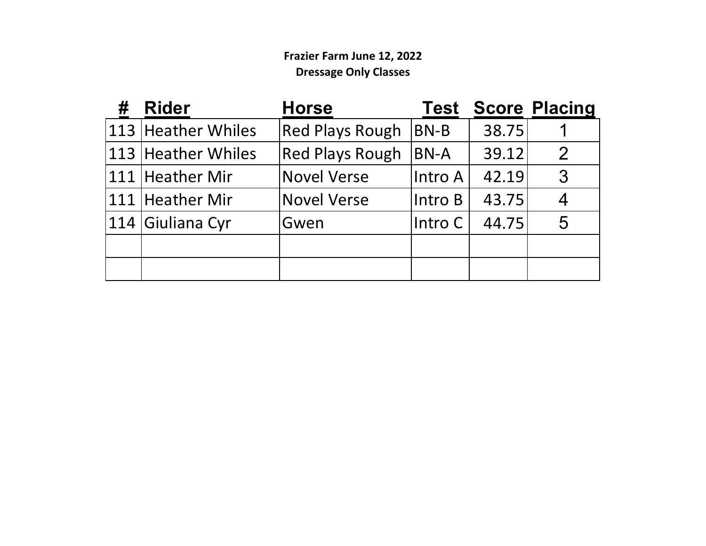### **Frazier Farm June 12, 2022 Dressage Only Classes**

| # | <b>Rider</b>       | <b>Horse</b>           | Test     |       | <b>Score Placing</b> |
|---|--------------------|------------------------|----------|-------|----------------------|
|   | 113 Heather Whiles | <b>Red Plays Rough</b> | $BN-B$   | 38.75 |                      |
|   | 113 Heather Whiles | <b>Red Plays Rough</b> | $ BN-A $ | 39.12 | $\mathcal{P}$        |
|   | 111 Heather Mir    | <b>Novel Verse</b>     | Intro A  | 42.19 | 3                    |
|   | 111 Heather Mir    | <b>Novel Verse</b>     | Intro B  | 43.75 |                      |
|   | 114 Giuliana Cyr   | Gwen                   | Intro C  | 44.75 | 5                    |
|   |                    |                        |          |       |                      |
|   |                    |                        |          |       |                      |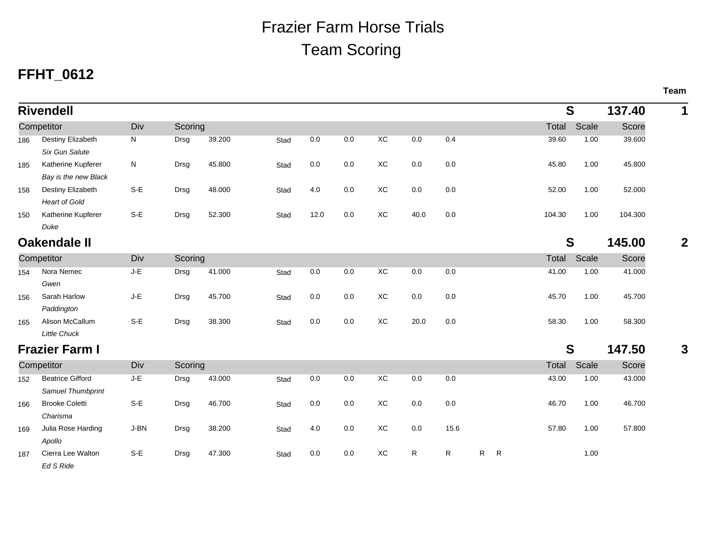# Team ScoringFrazier Farm Horse Trials

## **FFHT\_0612**

|     | <b>Rivendell</b>        |       |         |        |      |      |     |                |      |              |                   |        | S     | 137.40  | 1            |
|-----|-------------------------|-------|---------|--------|------|------|-----|----------------|------|--------------|-------------------|--------|-------|---------|--------------|
|     | Competitor              | Div   | Scoring |        |      |      |     |                |      |              |                   | Total  | Scale | Score   |              |
| 186 | Destiny Elizabeth       | N     | Drsg    | 39.200 | Stad | 0.0  | 0.0 | XC             | 0.0  | 0.4          |                   | 39.60  | 1.00  | 39.600  |              |
|     | Six Gun Salute          |       |         |        |      |      |     |                |      |              |                   |        |       |         |              |
| 185 | Katherine Kupferer      | N     | Drsg    | 45.800 | Stad | 0.0  | 0.0 | XC             | 0.0  | 0.0          |                   | 45.80  | 1.00  | 45.800  |              |
|     | Bay is the new Black    |       |         |        |      |      |     |                |      |              |                   |        |       |         |              |
| 158 | Destiny Elizabeth       | $S-E$ | Drsg    | 48.000 | Stad | 4.0  | 0.0 | XC             | 0.0  | 0.0          |                   | 52.00  | 1.00  | 52.000  |              |
|     | <b>Heart of Gold</b>    |       |         |        |      |      |     |                |      |              |                   |        |       |         |              |
| 150 | Katherine Kupferer      | $S-E$ | Drsg    | 52.300 | Stad | 12.0 | 0.0 | XC             | 40.0 | 0.0          |                   | 104.30 | 1.00  | 104.300 |              |
|     | Duke                    |       |         |        |      |      |     |                |      |              |                   |        |       |         |              |
|     | <b>Oakendale II</b>     |       |         |        |      |      |     |                |      |              |                   |        | S     | 145.00  | $\mathbf{2}$ |
|     | Competitor              | Div   | Scoring |        |      |      |     |                |      |              |                   | Total  | Scale | Score   |              |
| 154 | Nora Nemec              | $J-E$ | Drsg    | 41.000 | Stad | 0.0  | 0.0 | X <sub>C</sub> | 0.0  | 0.0          |                   | 41.00  | 1.00  | 41.000  |              |
|     | Gwen                    |       |         |        |      |      |     |                |      |              |                   |        |       |         |              |
| 156 | Sarah Harlow            | J-E   | Drsg    | 45.700 | Stad | 0.0  | 0.0 | XC             | 0.0  | 0.0          |                   | 45.70  | 1.00  | 45.700  |              |
|     | Paddington              |       |         |        |      |      |     |                |      |              |                   |        |       |         |              |
| 165 | Alison McCallum         | $S-E$ | Drsg    | 38.300 | Stad | 0.0  | 0.0 | XC             | 20.0 | 0.0          |                   | 58.30  | 1.00  | 58.300  |              |
|     | <b>Little Chuck</b>     |       |         |        |      |      |     |                |      |              |                   |        |       |         |              |
|     | <b>Frazier Farm I</b>   |       |         |        |      |      |     |                |      |              |                   |        | S     | 147.50  | $\mathbf{3}$ |
|     | Competitor              | Div   | Scoring |        |      |      |     |                |      |              |                   | Total  | Scale | Score   |              |
| 152 | <b>Beatrice Gifford</b> | J-E   | Drsg    | 43.000 | Stad | 0.0  | 0.0 | X <sub>C</sub> | 0.0  | 0.0          |                   | 43.00  | 1.00  | 43.000  |              |
|     | Samuel Thumbprint       |       |         |        |      |      |     |                |      |              |                   |        |       |         |              |
| 166 | <b>Brooke Coletti</b>   | $S-E$ | Drsg    | 46.700 | Stad | 0.0  | 0.0 | XC             | 0.0  | 0.0          |                   | 46.70  | 1.00  | 46.700  |              |
|     | Charisma                |       |         |        |      |      |     |                |      |              |                   |        |       |         |              |
| 169 | Julia Rose Harding      | J-BN  | Drsg    | 38.200 | Stad | 4.0  | 0.0 | XC             | 0.0  | 15.6         |                   | 57.80  | 1.00  | 57.800  |              |
|     | Apollo                  |       |         |        |      |      |     |                |      |              |                   |        |       |         |              |
| 187 | Cierra Lee Walton       | $S-E$ | Drsg    | 47.300 | Stad | 0.0  | 0.0 | XC             | R    | $\mathsf{R}$ | $\mathsf{R}$<br>R |        | 1.00  |         |              |
|     | Ed S Ride               |       |         |        |      |      |     |                |      |              |                   |        |       |         |              |

**Team**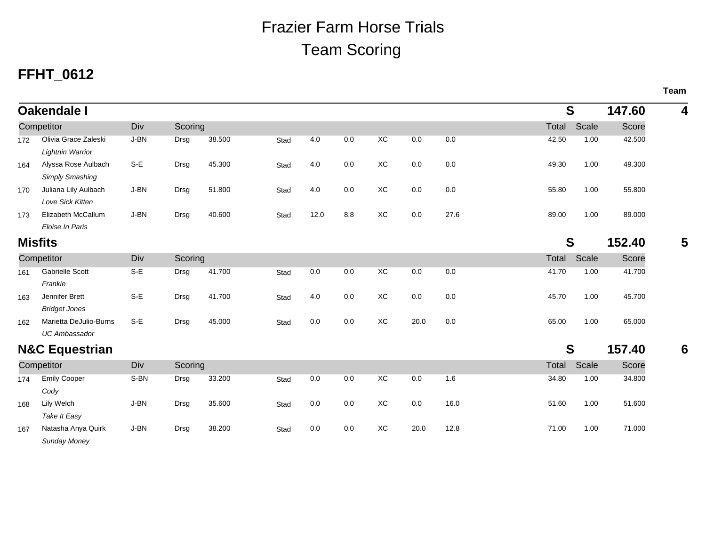# Team ScoringFrazier Farm Horse Trials

## **FFHT\_0612**

|                           | <b>Oakendale I</b>                              |       |             |        |      |      |     |           |      | S    |       | 147.60 | 4      |   |
|---------------------------|-------------------------------------------------|-------|-------------|--------|------|------|-----|-----------|------|------|-------|--------|--------|---|
|                           | Competitor                                      | Div   | Scoring     |        |      |      |     |           |      |      | Total | Scale  | Score  |   |
| 172                       | Olivia Grace Zaleski<br><b>Lightnin Warrior</b> | J-BN  | Drsg        | 38.500 | Stad | 4.0  | 0.0 | <b>XC</b> | 0.0  | 0.0  | 42.50 | 1.00   | 42.500 |   |
| 164                       | Alyssa Rose Aulbach<br>Simply Smashing          | $S-E$ | Drsg        | 45.300 | Stad | 4.0  | 0.0 | XC        | 0.0  | 0.0  | 49.30 | 1.00   | 49.300 |   |
| 170                       | Juliana Lily Aulbach<br>Love Sick Kitten        | J-BN  | Drsg        | 51.800 | Stad | 4.0  | 0.0 | XC        | 0.0  | 0.0  | 55.80 | 1.00   | 55.800 |   |
| 173                       | Elizabeth McCallum<br>Eloise In Paris           | J-BN  | Drsg        | 40.600 | Stad | 12.0 | 8.8 | XC        | 0.0  | 27.6 | 89.00 | 1.00   | 89.000 |   |
| <b>Misfits</b>            |                                                 |       |             |        |      |      |     |           |      |      |       | S      | 152.40 | 5 |
| Competitor                |                                                 | Div   | Scoring     |        |      |      |     |           |      |      | Total | Scale  | Score  |   |
| 161                       | <b>Gabrielle Scott</b><br>Frankie               | $S-E$ | Drsg        | 41.700 | Stad | 0.0  | 0.0 | XC        | 0.0  | 0.0  | 41.70 | 1.00   | 41.700 |   |
| 163                       | Jennifer Brett<br><b>Bridget Jones</b>          | $S-E$ | Drsg        | 41.700 | Stad | 4.0  | 0.0 | XC        | 0.0  | 0.0  | 45.70 | 1.00   | 45.700 |   |
| 162                       | Marietta DeJulio-Burns<br><b>UC Ambassador</b>  | $S-E$ | <b>Drsg</b> | 45.000 | Stad | 0.0  | 0.0 | ХC        | 20.0 | 0.0  | 65.00 | 1.00   | 65.000 |   |
| <b>N&amp;C Equestrian</b> |                                                 |       |             |        |      |      |     |           |      |      | S     | 157.40 | 6      |   |
| Competitor                |                                                 | Div   | Scoring     |        |      |      |     |           |      |      | Total | Scale  | Score  |   |
| 174                       | <b>Emily Cooper</b><br>Cody                     | S-BN  | Drsg        | 33.200 | Stad | 0.0  | 0.0 | XC        | 0.0  | 1.6  | 34.80 | 1.00   | 34.800 |   |
| 168                       | Lily Welch<br>Take It Easy                      | J-BN  | Drsg        | 35.600 | Stad | 0.0  | 0.0 | ХC        | 0.0  | 16.0 | 51.60 | 1.00   | 51.600 |   |
| 167                       | Natasha Anya Quirk<br>Sunday Money              | J-BN  | Drsg        | 38.200 | Stad | 0.0  | 0.0 | ХC        | 20.0 | 12.8 | 71.00 | 1.00   | 71.000 |   |

**Team**